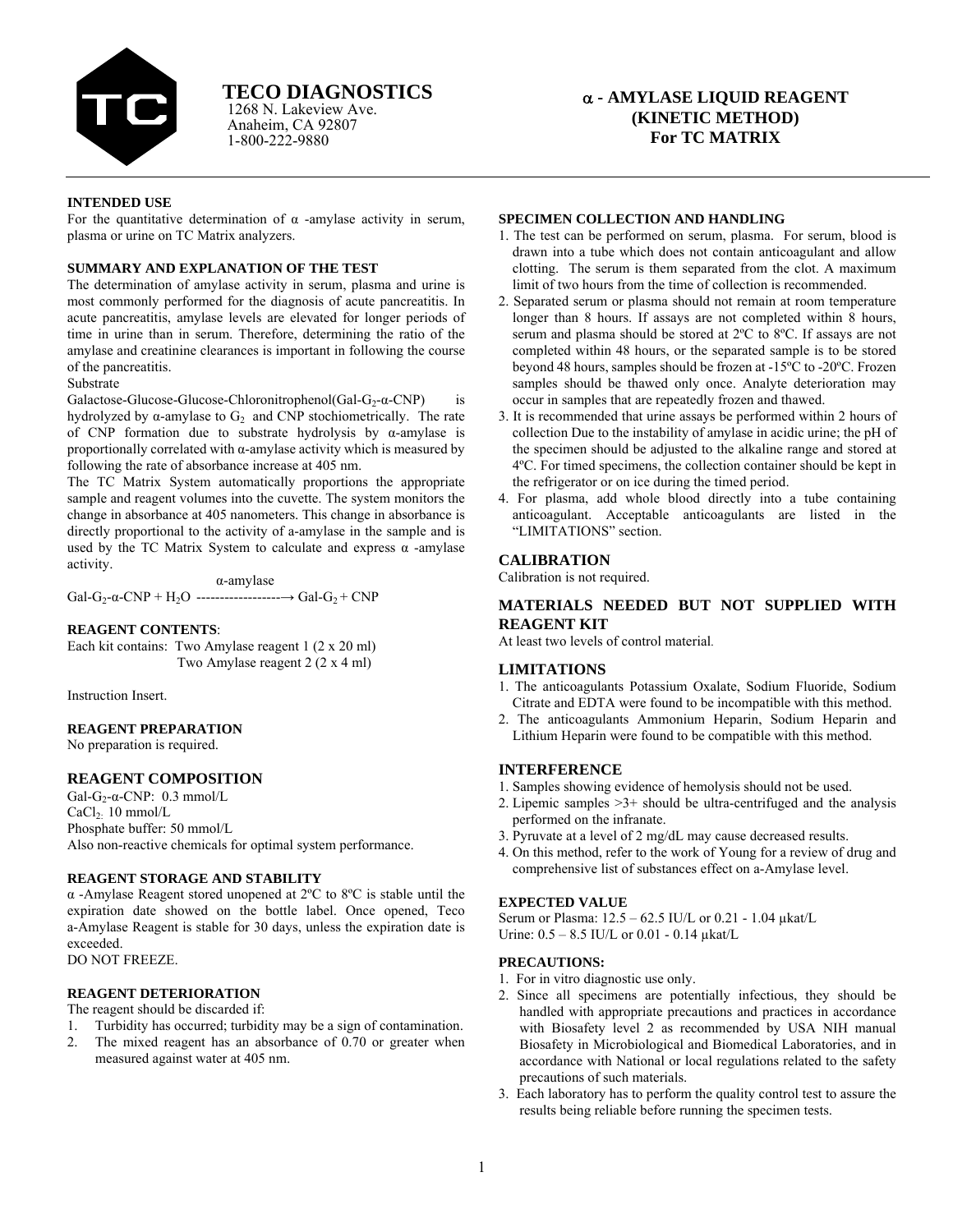

Anaheim, CA 92807 1-800-222-9880 1268 N. Lakeview Ave.

# **TECO DIAGNOSTICS** <sup>α</sup> **- AMYLASE LIQUID REAGENT (KINETIC METHOD) For TC MATRIX**

## **INTENDED USE**

For the quantitative determination of  $\alpha$  -amylase activity in serum, plasma or urine on TC Matrix analyzers.

# **SUMMARY AND EXPLANATION OF THE TEST**

The determination of amylase activity in serum, plasma and urine is most commonly performed for the diagnosis of acute pancreatitis. In acute pancreatitis, amylase levels are elevated for longer periods of time in urine than in serum. Therefore, determining the ratio of the amylase and creatinine clearances is important in following the course of the pancreatitis.

## Substrate

Galactose-Glucose-Glucose-Chloronitrophenol(Gal-G<sub>2</sub>- $\alpha$ -CNP) is hydrolyzed by α-amylase to  $G_2$  and CNP stochiometrically. The rate of CNP formation due to substrate hydrolysis by α-amylase is proportionally correlated with α-amylase activity which is measured by following the rate of absorbance increase at 405 nm.

The TC Matrix System automatically proportions the appropriate sample and reagent volumes into the cuvette. The system monitors the change in absorbance at 405 nanometers. This change in absorbance is directly proportional to the activity of a-amylase in the sample and is used by the TC Matrix System to calculate and express  $\alpha$  -amylase activity.

 α-amylase Gal-G2-α-CNP + H2O ------------------→ Gal-G2 + CNP

#### **REAGENT CONTENTS**:

Each kit contains: Two Amylase reagent 1 (2 x 20 ml) Two Amylase reagent 2 (2 x 4 ml)

Instruction Insert.

## **REAGENT PREPARATION**

No preparation is required.

## **REAGENT COMPOSITION**

Gal-G<sub>2</sub>- $\alpha$ -CNP: 0.3 mmol/L CaCl2: 10 mmol/L

Phosphate buffer: 50 mmol/L Also non-reactive chemicals for optimal system performance.

#### **REAGENT STORAGE AND STABILITY**

 α -Amylase Reagent stored unopened at 2ºC to 8ºC is stable until the expiration date showed on the bottle label. Once opened, Teco a-Amylase Reagent is stable for 30 days, unless the expiration date is exceeded.

DO NOT FREEZE.

# **REAGENT DETERIORATION**

The reagent should be discarded if:

- 1. Turbidity has occurred; turbidity may be a sign of contamination.
- 2. The mixed reagent has an absorbance of 0.70 or greater when measured against water at 405 nm.

#### **SPECIMEN COLLECTION AND HANDLING**

- 1. The test can be performed on serum, plasma. For serum, blood is drawn into a tube which does not contain anticoagulant and allow clotting. The serum is them separated from the clot. A maximum limit of two hours from the time of collection is recommended.
- 2. Separated serum or plasma should not remain at room temperature longer than 8 hours. If assays are not completed within 8 hours, serum and plasma should be stored at 2ºC to 8ºC. If assays are not completed within 48 hours, or the separated sample is to be stored beyond 48 hours, samples should be frozen at -15ºC to -20ºC. Frozen samples should be thawed only once. Analyte deterioration may occur in samples that are repeatedly frozen and thawed.
- 3. It is recommended that urine assays be performed within 2 hours of collection Due to the instability of amylase in acidic urine; the pH of the specimen should be adjusted to the alkaline range and stored at 4ºC. For timed specimens, the collection container should be kept in the refrigerator or on ice during the timed period.
- 4. For plasma, add whole blood directly into a tube containing anticoagulant. Acceptable anticoagulants are listed in the "LIMITATIONS" section.

## **CALIBRATION**

Calibration is not required.

## **MATERIALS NEEDED BUT NOT SUPPLIED WITH REAGENT KIT**

At least two levels of control material.

#### **LIMITATIONS**

- 1. The anticoagulants Potassium Oxalate, Sodium Fluoride, Sodium Citrate and EDTA were found to be incompatible with this method.
- 2. The anticoagulants Ammonium Heparin, Sodium Heparin and Lithium Heparin were found to be compatible with this method.

## **INTERFERENCE**

- 1. Samples showing evidence of hemolysis should not be used.
- 2. Lipemic samples >3+ should be ultra-centrifuged and the analysis performed on the infranate.
- 3. Pyruvate at a level of 2 mg/dL may cause decreased results.
- 4. On this method, refer to the work of Young for a review of drug and comprehensive list of substances effect on a-Amylase level.

#### **EXPECTED VALUE**

Serum or Plasma: 12.5 – 62.5 IU/L or 0.21 - 1.04 µkat/L Urine:  $0.5 - 8.5$  IU/L or  $0.01 - 0.14$  ukat/L

## **PRECAUTIONS:**

- 1. For in vitro diagnostic use only.
- 2. Since all specimens are potentially infectious, they should be handled with appropriate precautions and practices in accordance with Biosafety level 2 as recommended by USA NIH manual Biosafety in Microbiological and Biomedical Laboratories, and in accordance with National or local regulations related to the safety precautions of such materials.
- 3. Each laboratory has to perform the quality control test to assure the results being reliable before running the specimen tests.